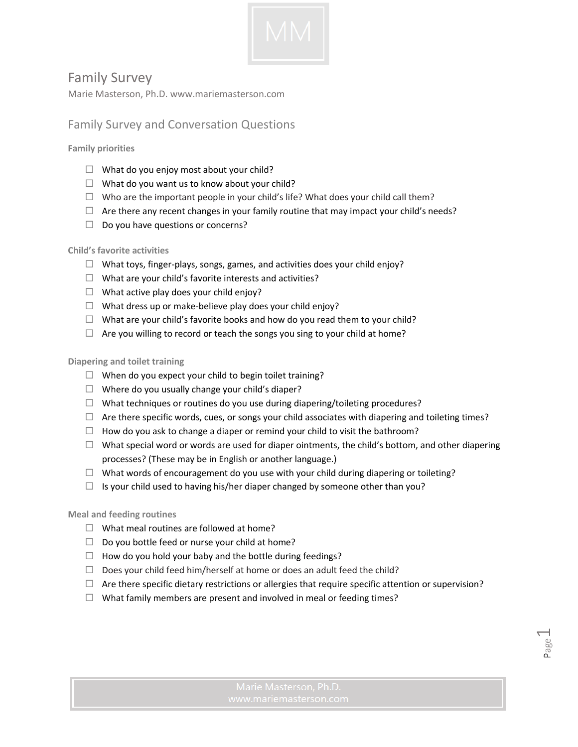

# Family Survey

Marie Masterson, Ph.D. www.mariemasterson.com

## Family Survey and Conversation Questions

**Family priorities** 

- $\Box$  What do you enjoy most about your child?
- $\Box$  What do you want us to know about your child?
- $\Box$  Who are the important people in your child's life? What does your child call them?
- $\Box$  Are there any recent changes in your family routine that may impact your child's needs?
- $\Box$  Do you have questions or concerns?

### **Child's favorite activities**

- $\Box$  What toys, finger-plays, songs, games, and activities does your child enjoy?
- $\Box$  What are your child's favorite interests and activities?
- $\Box$  What active play does your child enjoy?
- $\Box$  What dress up or make-believe play does your child enjoy?
- $\Box$  What are your child's favorite books and how do you read them to your child?
- $\Box$  Are you willing to record or teach the songs you sing to your child at home?

#### **Diapering and toilet training**

- $\Box$  When do you expect your child to begin toilet training?
- $\Box$  Where do you usually change your child's diaper?
- $\Box$  What techniques or routines do you use during diapering/toileting procedures?
- $\Box$  Are there specific words, cues, or songs your child associates with diapering and toileting times?
- $\Box$  How do you ask to change a diaper or remind your child to visit the bathroom?
- $\Box$  What special word or words are used for diaper ointments, the child's bottom, and other diapering processes? (These may be in English or another language.)
- $\Box$  What words of encouragement do you use with your child during diapering or toileting?
- $\Box$  Is your child used to having his/her diaper changed by someone other than you?

#### **Meal and feeding routines**

- $\Box$  What meal routines are followed at home?
- $\Box$  Do you bottle feed or nurse your child at home?
- $\Box$  How do you hold your baby and the bottle during feedings?
- $\Box$  Does your child feed him/herself at home or does an adult feed the child?
- $\Box$  Are there specific dietary restrictions or allergies that require specific attention or supervision?
- $\Box$  What family members are present and involved in meal or feeding times?